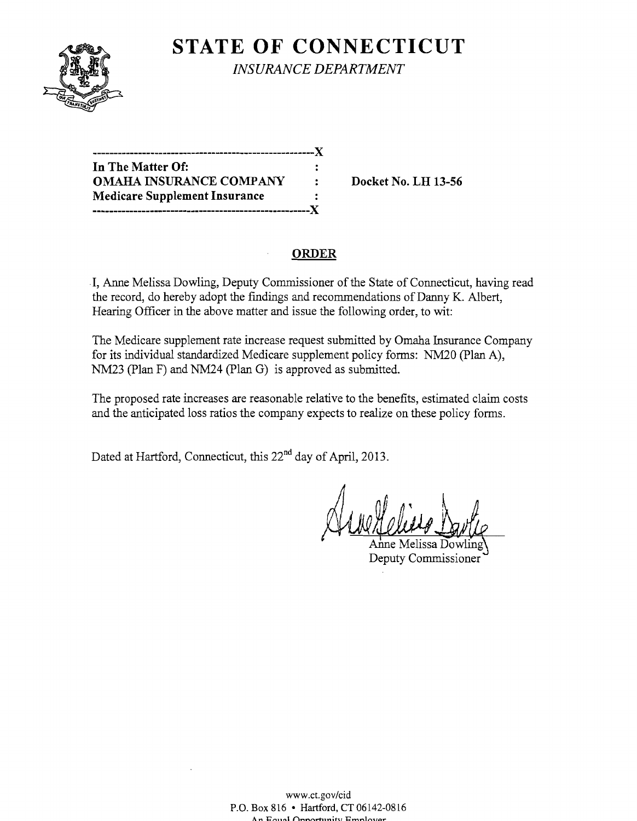

**STATE OF CONNECTICUT** 

*INSURANCE DEPARTMENT* 

| In The Matter Of:                     |   |
|---------------------------------------|---|
| <b>OMAHA INSURANCE COMPANY</b>        | ٠ |
| <b>Medicare Supplement Insurance</b>  |   |
| ------------------------------------- |   |

**Docket No. LH 13-56** 

# **ORDER**

I, Anne Melissa Dowling, Deputy Commissioner of the State of Connecticut, having read the record, do hereby adopt the findings and recommendations of Danny K. Albert, Hearing Officer in the above matter and issue the following order, to wit:

The Medicare supplement rate increase request submitted by Omaha Insurance Company for its individual standardized Medicare supplement policy forms: NM20 (plan A), NM23 (Plan F) and NM24 (Plan G) is approved as submitted.

The proposed rate increases are reasonable relative to the benefits, estimated claim costs and the anticipated loss ratios the company expects to realize on these policy forms.

Dated at Hartford, Connecticut, this 22<sup>nd</sup> day of April, 2013.

Arvetteling 1

Anne Melissa Dowling Deputy Commissioner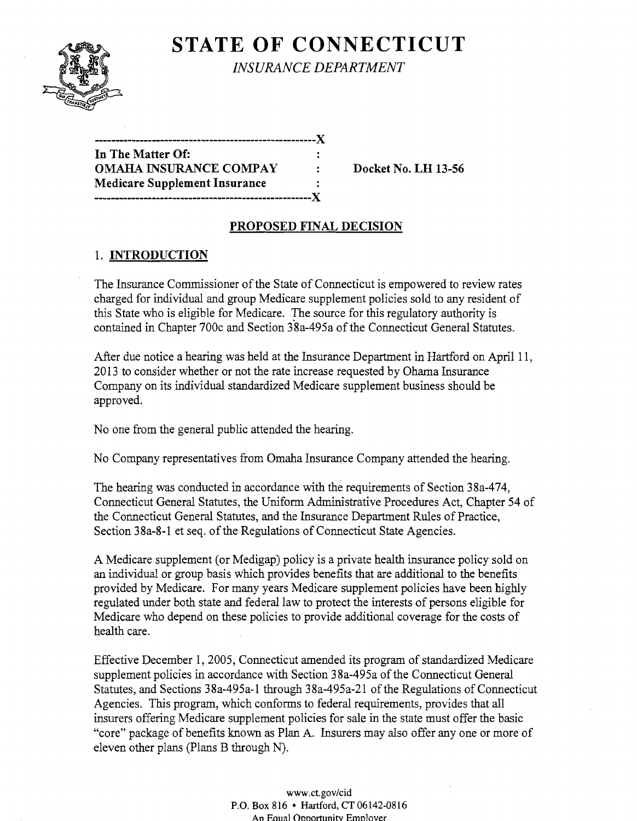

**STATE OF CONNECTICUT** 

*INSURANCE DEPARTMENT* 

| In The Matter Of:                    |   |
|--------------------------------------|---|
| <b>OMAHA INSURANCE COMPAY</b>        | ٠ |
| <b>Medicare Supplement Insurance</b> | ٠ |
| ----------------                     |   |

**Docket No. LH 13-56** 

# **PROPOSED FINAL DECISION**

# 1. **INTRODUCTION**

The Insurance Commissioner of the State of Connecticut is empowered to review rates charged for individual and group Medicare supplement policies sold to any resident of this State who is eligible for Medicare. The source for this regulatory authority is contained in Chapter 700c and Section 38a-495a of the Connecticut General Statutes.

After due notice a hearing was held at the Insurance Department in Hartford on April 11, 2013 to consider whether or not the rate increase requested by Ohama Insurance Company on its individual standardized Medicare supplement business should be approved.

No one from the general public attended the hearing.

No Company representatives from Omaha Insurance Company attended the hearing.

The hearing was conducted in accordance with the requirements of Section 38a-474, Connecticut General Statutes, the Uniform Administrative Procedures Act, Chapter 54 of the Connecticut General Statutes, and the Insurance Department Rules of Practice, Section 38a-8-1 et seq. of the Regulations of Connecticut State Agencies.

A Medicare supplement (or Medigap) policy is a private health insurance policy sold on an individual or group basis which provides benefits that are additional to the benefits provided by Medicare. For many years Medicare supplement policies have been highly regulated under both state and federal law to protect the interests of persons eligible for Medicare who depend on these policies to provide additional coverage for the costs of health care.

Effective December 1, 2005, Connecticut amended its program of standardized Medicare supplement policies in accordance with Section 38a-495a of the Connecticut General Statutes, and Sections 38a-495a-1 through 38a-495a-21 of the Regulations of Connecticut Agencies. This program, which conforms to federal requirements, provides that all insurers offering Medicare supplement policies for sale in the state must offer the basic "core" package of benefits known as Plan A. Insurers may also offer anyone or more of eleven other plans (Plans B through N).

> www.ct.gov/cid P.O. Box 816 • Hartford, CT 06142-0816 An Eaual Opportunity Emplover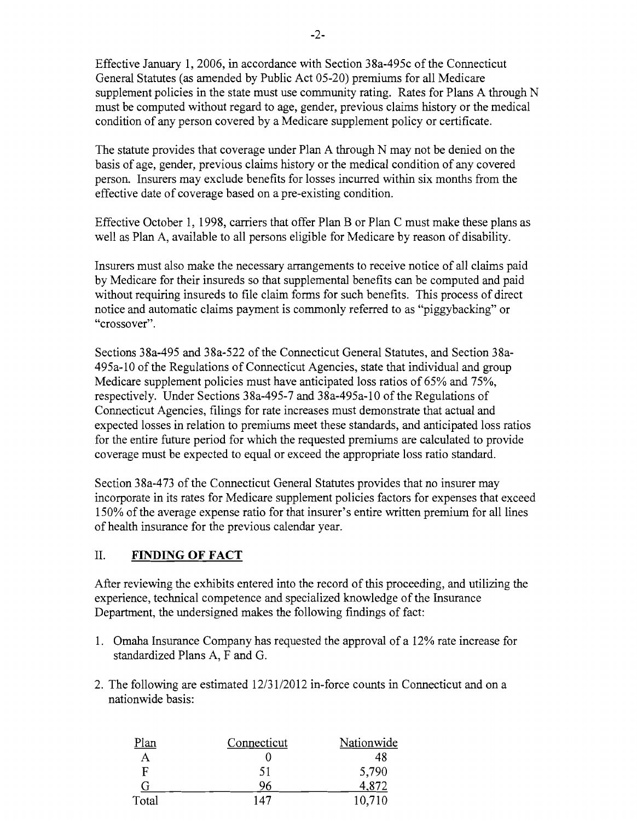Effective January 1,2006, in accordance with Section 38a-495c of the Connecticut General Statutes (as amended by Public Act 05-20) premiums for all Medicare supplement policies in the state must use community rating. Rates for Plans A through N must be computed without regard to age, gender, previous claims history or the medical condition of any person covered by a Medicare supplement policy or certificate.

The statute provides that coverage under Plan A through N may not be denied on the basis of age, gender, previous claims history or the medical condition of any covered person. Insurers may exclude benefits for losses incurred within six months from the effective date of coverage based on a pre-existing condition.

Effective October 1, 1998, carriers that offer Plan B or Plan C must make these plans as well as Plan A, available to all persons eligible for Medicare by reason of disability.

Insurers must also make the necessary arrangements to receive notice of all claims paid by Medicare for their insureds so that supplemental benefits can be computed and paid without requiring insureds to file claim forms for such benefits. This process of direct notice and automatic claims payment is commonly referred to as "piggybacking" or "crossover".

Sections 38a-495 and 38a-522 of the Connecticut General Statutes, and Section 38a-495a-10 ofthe Regulations of Connecticut Agencies, state that individual and group Medicare supplement policies must have anticipated loss ratios of 65% and 75%, respectively. Under Sections 38a-495-7 and 38a-495a-10 of the Regulations of Connecticut Agencies, filings for rate increases must demonstrate that actual and expected losses in relation to premiums meet these standards, and anticipated loss ratios for the entire future period for which the requested premiums are calculated to provide coverage must be expected to equal or exceed the appropriate loss ratio standard.

Section 38a-473 of the Connecticut General Statutes provides that no insurer may incorporate in its rates for Medicare supplement policies factors for expenses that exceed 150% of the average expense ratio for that insurer's entire written premium for all lines of health insurance for the previous calendar year.

#### II. **FINDING OF FACT**

After reviewing the exhibits entered into the record of this proceeding, and utilizing the experience, technical competence and specialized knowledge of the Insurance Department, the undersigned makes the following findings of fact:

- 1. Omaha Insurance Company has requested the approval of a 12% rate increase for standardized Plans A, F and G.
- 2. The following are estimated 12/31/2012 in-force counts in Connecticut and on a nationwide basis:

| Plan  | Connecticut | Nationwide |
|-------|-------------|------------|
| А     |             | 48         |
| F     | 51          | 5,790      |
| G     | 96          | 4,872      |
| Total | 147         | 10,710     |